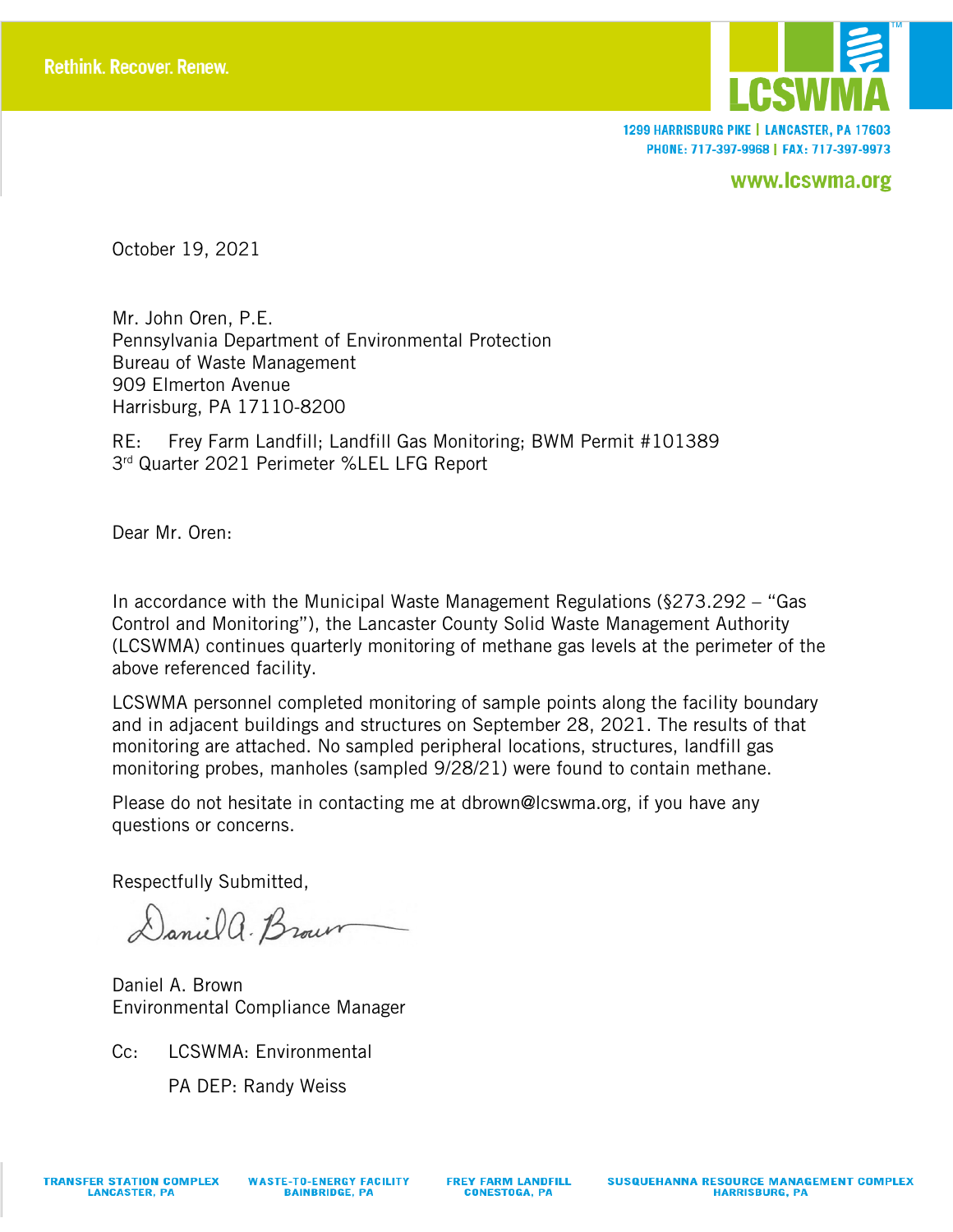

1299 HARRISBURG PIKE | LANCASTER, PA 17603 PHONE: 717-397-9968 | FAX: 717-397-9973

www.lcswma.org

October 19, 2021

Mr. John Oren, P.E. Pennsylvania Department of Environmental Protection Bureau of Waste Management 909 Elmerton Avenue Harrisburg, PA 17110-8200

RE: Frey Farm Landfill; Landfill Gas Monitoring; BWM Permit #101389 3rd Quarter 2021 Perimeter %LEL LFG Report

Dear Mr. Oren:

In accordance with the Municipal Waste Management Regulations (§273.292 – "Gas Control and Monitoring"), the Lancaster County Solid Waste Management Authority (LCSWMA) continues quarterly monitoring of methane gas levels at the perimeter of the above referenced facility.

LCSWMA personnel completed monitoring of sample points along the facility boundary and in adjacent buildings and structures on September 28, 2021. The results of that monitoring are attached. No sampled peripheral locations, structures, landfill gas monitoring probes, manholes (sampled 9/28/21) were found to contain methane.

Please do not hesitate in contacting me at dbrown@lcswma.org, if you have any questions or concerns.

Respectfully Submitted,

Daniel a. Brown

Daniel A. Brown Environmental Compliance Manager

Cc: LCSWMA: Environmental PA DEP: Randy Weiss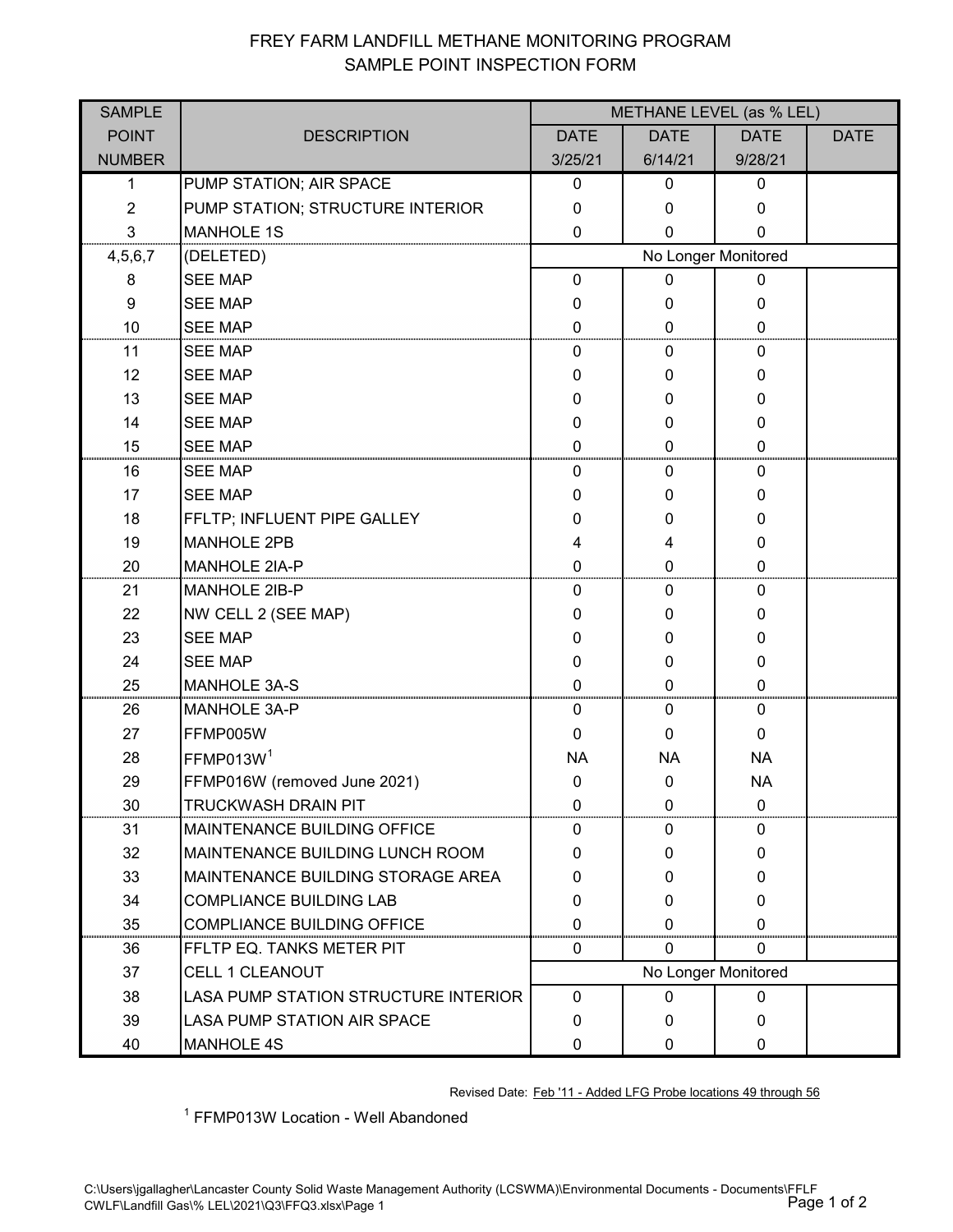## FREY FARM LANDFILL METHANE MONITORING PROGRAM SAMPLE POINT INSPECTION FORM

| <b>SAMPLE</b>  |                                        | METHANE LEVEL (as % LEL) |              |             |             |  |  |
|----------------|----------------------------------------|--------------------------|--------------|-------------|-------------|--|--|
| <b>POINT</b>   | <b>DESCRIPTION</b>                     | <b>DATE</b>              | <b>DATE</b>  | <b>DATE</b> | <b>DATE</b> |  |  |
| <b>NUMBER</b>  |                                        | 3/25/21                  | 6/14/21      | 9/28/21     |             |  |  |
| 1              | PUMP STATION; AIR SPACE                | 0                        | 0            | $\mathbf 0$ |             |  |  |
| $\overline{2}$ | PUMP STATION; STRUCTURE INTERIOR       | $\mathbf 0$              | 0            | 0           |             |  |  |
| 3              | <b>MANHOLE 1S</b>                      | 0                        | 0            | 0           |             |  |  |
| 4,5,6,7        | (DELETED)                              | No Longer Monitored      |              |             |             |  |  |
| 8              | <b>SEE MAP</b>                         | $\mathbf 0$              | $\mathbf{0}$ | 0           |             |  |  |
| 9              | <b>SEE MAP</b>                         | 0                        | 0            | 0           |             |  |  |
| 10             | <b>SEE MAP</b>                         | 0                        | 0            | 0           |             |  |  |
| 11             | <b>SEE MAP</b>                         | 0                        | 0            | 0           |             |  |  |
| 12             | <b>SEE MAP</b>                         | 0                        | 0            | 0           |             |  |  |
| 13             | <b>SEE MAP</b>                         | 0                        | 0            | 0           |             |  |  |
| 14             | <b>SEE MAP</b>                         | 0                        | 0            | 0           |             |  |  |
| 15             | <b>SEE MAP</b>                         | 0                        | 0            | 0           |             |  |  |
| 16             | <b>SEE MAP</b>                         | 0                        | 0            | 0           |             |  |  |
| 17             | <b>SEE MAP</b>                         | 0                        | 0            | 0           |             |  |  |
| 18             | FFLTP; INFLUENT PIPE GALLEY            | 0                        | 0            | 0           |             |  |  |
| 19             | <b>MANHOLE 2PB</b>                     | 4                        | 4            | 0           |             |  |  |
| 20             | <b>MANHOLE 2IA-P</b>                   | 0                        | $\mathbf 0$  | $\mathbf 0$ |             |  |  |
| 21             | MANHOLE 2IB-P                          | 0                        | 0            | 0           |             |  |  |
| 22             | NW CELL 2 (SEE MAP)                    | 0                        | 0            | 0           |             |  |  |
| 23             | <b>SEE MAP</b>                         | 0                        | 0            | 0           |             |  |  |
| 24             | <b>SEE MAP</b>                         | 0                        | 0            | 0           |             |  |  |
| 25             | <b>MANHOLE 3A-S</b>                    | 0                        | 0            | 0           |             |  |  |
| 26             | <b>MANHOLE 3A-P</b>                    | 0                        | 0            | 0           |             |  |  |
| 27             | FFMP005W                               | 0                        | $\Omega$     | 0           |             |  |  |
| 28             | FFMP013W <sup>1</sup>                  | <b>NA</b>                | <b>NA</b>    | <b>NA</b>   |             |  |  |
| 29             | FFMP016W (removed June 2021)           | $\mathbf 0$              | $\mathbf 0$  | <b>NA</b>   |             |  |  |
| 30             | <b>TRUCKWASH DRAIN PIT</b>             | $\mathbf{0}$             | $\mathbf{0}$ | 0           |             |  |  |
| 31             | <b>MAINTENANCE BUILDING OFFICE</b>     | 0                        | 0            | 0           |             |  |  |
| 32             | <b>MAINTENANCE BUILDING LUNCH ROOM</b> | 0                        | 0            | $\mathbf 0$ |             |  |  |
| 33             | MAINTENANCE BUILDING STORAGE AREA      | $\mathbf{0}$             | 0            | 0           |             |  |  |
| 34             | <b>COMPLIANCE BUILDING LAB</b>         | 0                        | $\mathbf{0}$ | 0           |             |  |  |
| 35             | <b>COMPLIANCE BUILDING OFFICE</b>      | $\Omega$                 | 0            | 0           |             |  |  |
| 36             | FFLTP EQ. TANKS METER PIT              | 0                        | $\mathbf{0}$ | 0           |             |  |  |
| 37             | <b>CELL 1 CLEANOUT</b>                 | No Longer Monitored      |              |             |             |  |  |
| 38             | LASA PUMP STATION STRUCTURE INTERIOR   | $\mathbf 0$              | 0            | 0           |             |  |  |
| 39             | LASA PUMP STATION AIR SPACE            | $\mathbf{0}$             | 0            | $\mathbf 0$ |             |  |  |
| 40             | <b>MANHOLE 4S</b>                      | 0                        | 0            | 0           |             |  |  |

Revised Date: Feb '11 - Added LFG Probe locations 49 through 56

<sup>1</sup> FFMP013W Location - Well Abandoned